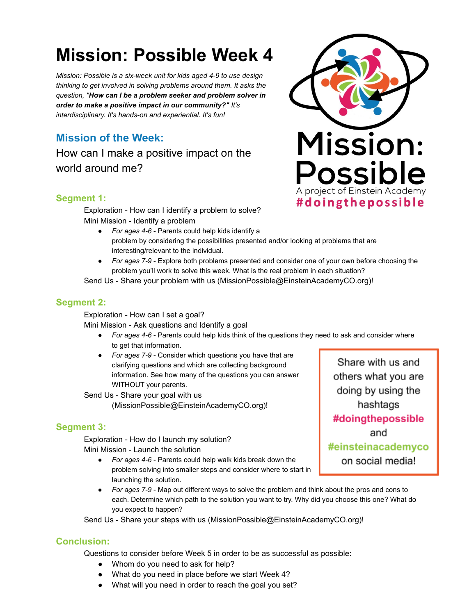# **Mission: Possible Week 4**

*Mission: Possible is a six-week unit for kids aged 4-9 to use design thinking to get involved in solving problems around them. It asks the question, " How can I be a problem seeker and problem solver in order to make a positive impact in our community?" It's interdisciplinary. It's hands-on and experiential. It's fun!* 

## **Mission of the Week:**

How can I make a positive impact on the world around me?

#### **Segment 1:**

Exploration - How can I identify a problem to solve? Mini Mission - Identify a problem

- *For ages 4-6*  Parents could help kids identify a problem by considering the possibilities presented and/or looking at problems that are interesting/relevant to the individual.
- For ages 7-9 Explore both problems presented and consider one of your own before choosing the problem you'll work to solve this week. What is the real problem in each situation?

Send Us - Share your problem with us (MissionPossible@EinsteinAcademyCO.org)!

#### **Segment 2:**

Exploration - How can I set a goal?

Mini Mission - Ask questions and Identify a goal

- *For ages 4-6 Parents could help kids think of the questions they need to ask and consider where* to get that information.
- *For ages 7-9*  Consider which questions you have that are clarifying questions and which are collecting background information. See how many of the questions you can answer WITHOUT your parents.

Send Us - Share your goal with us (MissionPossible@EinsteinAcademyCO.org)!

#### **Segment 3:**

Exploration - How do I launch my solution? Mini Mission - Launch the solution

- *For ages 4-6*  Parents could help walk kids break down the problem solving into smaller steps and consider where to start in launching the solution.
- *For ages 7-9*  Map out different ways to solve the problem and think about the pros and cons to each. Determine which path to the solution you want to try. Why did you choose this one? What do you expect to happen?

Send Us - Share your steps with us (MissionPossible@EinsteinAcademyCO.org)!

#### **Conclusion:**

Questions to consider before Week 5 in order to be as successful as possible:

- Whom do you need to ask for help?
- What do you need in place before we start Week 4?
- What will you need in order to reach the goal you set?



Share with us and others what you are doing by using the hashtags #doingthepossible and #einsteinacademyco on social media!